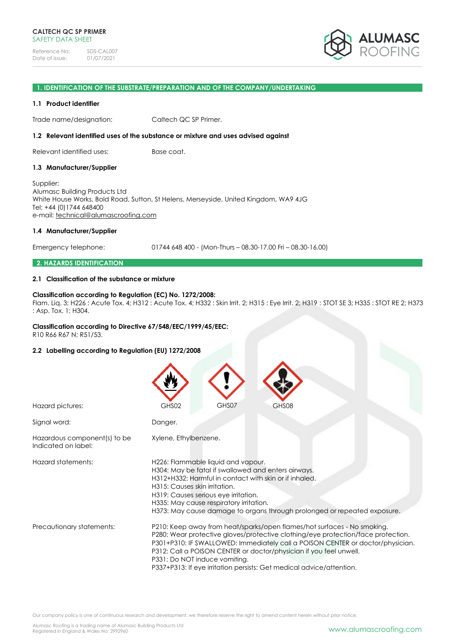Reference No: SDS-CAL007<br>Date of issue: 01/07/2021 Date of issue:



#### **1. IDENTIFICATION OF THE SUBSTRATE/PREPARATION AND OF THE COMPANY/UNDERTAKING**

#### **1.1 Product identifier**

Trade name/designation: Caltech QC SP Primer.

#### **1.2 Relevant identified uses of the substance or mixture and uses advised against**

Relevant identified uses: Base coat.

#### **1.3 Manufacturer/Supplier**

Supplier: Alumasc Building Products Ltd White House Works, Bold Road, Sutton, St Helens, Merseyside, United Kingdom, WA9 4JG Tel: +44 (0)1744 648400 e-mail: [technical@alumascroofing.com](mailto:technical@alumascroofing.com)

#### **1.4 Manufacturer/Supplier**

Emergency telephone: 01744 648 400 - (Mon-Thurs – 08.30-17.00 Fri – 08.30-16.00)

#### **2. HAZARDS IDENTIFICATION**

#### **2.1 Classification of the substance or mixture**

#### **Classification according to Regulation (EC) No. 1272/2008:**

Flam. Liq. 3; H226 : Acute Tox. 4; H312 : Acute Tox. 4; H332 : Skin Irrit. 2; H315 : Eye Irrit. 2; H319 : STOT SE 3; H335 : STOT RE 2; H373 : Asp. Tox. 1; H304.

# **Classification according to Directive 67/548/EEC/1999/45/EEC:**

R10 R66 R67 N; R51/53.

# **2.2 Labelling according to Regulation (EU) 1272/2008**

| Hazard pictures:                                    | GHS07<br>GHS02<br>GHS08                                                                                                                                                                                                                                                                                                                                                                                                      |  |  |  |
|-----------------------------------------------------|------------------------------------------------------------------------------------------------------------------------------------------------------------------------------------------------------------------------------------------------------------------------------------------------------------------------------------------------------------------------------------------------------------------------------|--|--|--|
|                                                     |                                                                                                                                                                                                                                                                                                                                                                                                                              |  |  |  |
| Signal word:                                        | Danger.                                                                                                                                                                                                                                                                                                                                                                                                                      |  |  |  |
| Hazardous component(s) to be<br>Indicated on label: | Xylene, Ethylbenzene.                                                                                                                                                                                                                                                                                                                                                                                                        |  |  |  |
| Hazard statements:                                  | H226: Flammable liquid and vapour.<br>H304: May be fatal if swallowed and enters airways.<br>H312+H332: Harmful in contact with skin or if inhaled.<br>H315: Causes skin irritation.<br>H319: Causes serious eye irritation.<br>H335: May cause respiratory irritation.<br>H373: May cause damage to organs through prolonged or repeated exposure.                                                                          |  |  |  |
| Precautionary statements:                           | P210: Keep away from heat/sparks/open flames/hot surfaces - No smoking.<br>P280: Wear protective gloves/protective clothing/eye protection/face protection.<br>P301+P310: IF SWALLOWED: Immediately call a POISON CENTER or doctor/physician.<br>P312: Call a POISON CENTER or doctor/physician if you feel unwell.<br>P331: Do NOT induce vomiting.<br>P337+P313: If eye irritation persists: Get medical advice/attention. |  |  |  |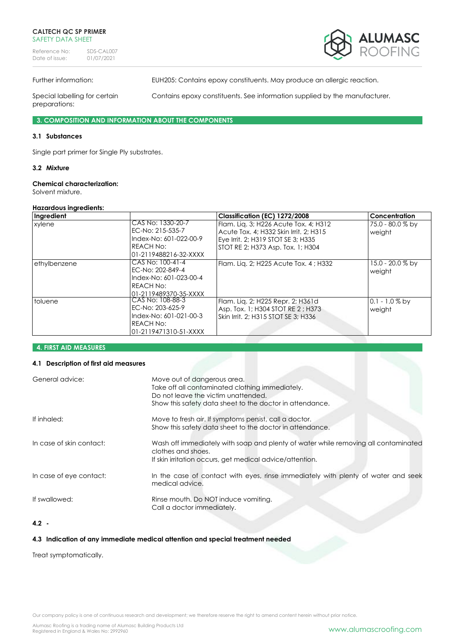Reference No: SDS-CAL007<br>Date of issue: 01/07/2021 Date of issue:



Further information: EUH205: Contains epoxy constituents. May produce an allergic reaction.

preparations:

Special labelling for certain Contains epoxy constituents. See information supplied by the manufacturer.

**3. COMPOSITION AND INFORMATION ABOUT THE COMPONENTS**

# **3.1 Substances**

Single part primer for Single Ply substrates.

# **3.2 Mixture**

# **Chemical characterization:**

Solvent mixture.

#### **Hazardous ingredients:**

| Ingredient       |                                                                                                         | Classification (EC) 1272/2008                                                                                                                              | <b>Concentration</b>         |
|------------------|---------------------------------------------------------------------------------------------------------|------------------------------------------------------------------------------------------------------------------------------------------------------------|------------------------------|
| xylene           | CAS No: 1330-20-7<br>EC-No: 215-535-7<br>Index-No: 601-022-00-9<br>IREACH No:<br>l01-2119488216-32-XXXX | Flam. Lig. 3; H226 Acute Tox. 4; H312<br>Acute Tox, 4: H332 Skin Irrit, 2: H315<br>Eye Irrit. 2; H319 STOT SE 3; H335<br>STOT RE 2; H373 Asp. Tox. 1; H304 | 75.0 - 80.0 % by<br>weight   |
| ethylbenzene     | CAS No: 100-41-4<br>EC-No: 202-849-4<br>Index-No: 601-023-00-4<br>IREACH No:<br>01-2119489370-35-XXXX   | Flam. Lig. 2; H225 Acute Tox. 4; H332                                                                                                                      | $15.0 - 20.0 %$ by<br>weight |
| <b>I</b> toluene | CAS No: 108-88-3<br>EC-No: 203-625-9<br>Index-No: 601-021-00-3<br>IREACH No:<br>l01-2119471310-51-XXXX  | Flam. Lig. 2; H225 Repr. 2; H361d<br>Asp. Tox. 1; H304 STOT RE 2; H373<br>Skin Irrit. 2: H315 STOT SE 3: H336                                              | $0.1 - 1.0 %$ by<br>weight   |

#### **4. FIRST AID MEASURES**

### **4.1 Description of first aid measures**

| General advice:          | Move out of dangerous area.<br>Take off all contaminated clothing immediately.<br>Do not leave the victim unattended.<br>Show this safety data sheet to the doctor in attendance. |
|--------------------------|-----------------------------------------------------------------------------------------------------------------------------------------------------------------------------------|
| If inhaled:              | Move to fresh air. If symptoms persist, call a doctor.<br>Show this safety data sheet to the doctor in attendance.                                                                |
| In case of skin contact: | Wash off immediately with soap and plenty of water while removing all contaminated<br>clothes and shoes.<br>If skin irritation occurs, get medical advice/attention.              |
| In case of eye contact:  | In the case of contact with eyes, rinse immediately with plenty of water and seek<br>medical advice.                                                                              |
| If swallowed:            | Rinse mouth. Do NOT induce vomiting.<br>Call a doctor immediately.                                                                                                                |

# **4.2 -**

# **4.3 Indication of any immediate medical attention and special treatment needed**

Treat symptomatically.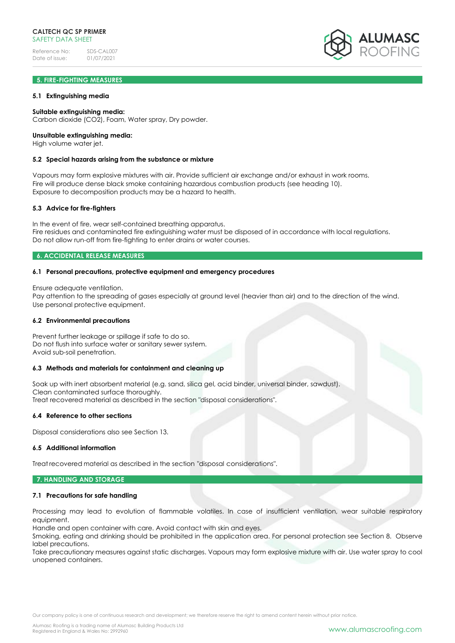Reference No: SDS-CAL007<br>Date of issue: 01/07/2021 Date of issue:

# **5. FIRE-FIGHTING MEASURES**

#### **5.1 Extinguishing media**

#### **Suitable extinguishing media:**

Carbon dioxide (CO2), Foam, Water spray, Dry powder.

#### **Unsuitable extinguishing media:**

High volume water jet.

#### **5.2 Special hazards arising from the substance or mixture**

Vapours may form explosive mixtures with air. Provide sufficient air exchange and/or exhaust in work rooms. Fire will produce dense black smoke containing hazardous combustion products (see heading 10). Exposure to decomposition products may be a hazard to health.

#### **5.3 Advice for fire-fighters**

In the event of fire, wear self-contained breathing apparatus. Fire residues and contaminated fire extinguishing water must be disposed of in accordance with local regulations. Do not allow run-off from fire-fighting to enter drains or water courses.

#### **6. ACCIDENTAL RELEASE MEASURES**

#### **6.1 Personal precautions, protective equipment and emergency procedures**

Ensure adequate ventilation.

Pay attention to the spreading of gases especially at ground level (heavier than air) and to the direction of the wind. Use personal protective equipment.

#### **6.2 Environmental precautions**

Prevent further leakage or spillage if safe to do so. Do not flush into surface water or sanitary sewer system. Avoid sub-soil penetration.

#### **6.3 Methods and materials for containment and cleaning up**

Soak up with inert absorbent material (e.g. sand, silica gel, acid binder, universal binder, sawdust). Clean contaminated surface thoroughly. Treat recovered material as described in the section "disposal considerations".

# **6.4 Reference to other sections**

Disposal considerations also see Section 13.

#### **6.5 Additional information**

Treat recovered material as described in the section "disposal considerations".

#### **7. HANDLING AND STORAGE**

#### **7.1 Precautions for safe handling**

Processing may lead to evolution of flammable volatiles. In case of insufficient ventilation, wear suitable respiratory equipment.

Handle and open container with care. Avoid contact with skin and eyes.

Smoking, eating and drinking should be prohibited in the application area. For personal protection see Section 8. Observe label precautions.

Take precautionary measures against static discharges. Vapours may form explosive mixture with air. Use water spray to cool unopened containers.

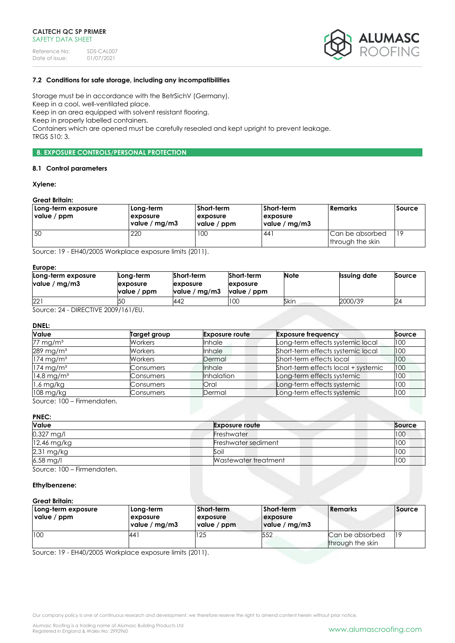Reference No: SDS-CAL007<br>Date of issue: 01/07/2021 Date of issue:



# **7.2 Conditions for safe storage, including any incompatibilities**

Storage must be in accordance with the BetrSichV (Germany).

Keep in a cool, well-ventilated place. Keep in an area equipped with solvent resistant flooring.

Keep in properly labelled containers.

Containers which are opened must be carefully resealed and kept upright to prevent leakage.

TRGS 510: 3.

# **8. EXPOSURE CONTROLS/PERSONAL PROTECTION**

#### **8.1 Control parameters**

#### **Xylene:**

# **Great Britain:**

| Long-term exposure<br>value / ppm | Long-term<br><b>Lexposure</b><br>value / mg/m3 | Short-term<br><b>exposure</b><br>value / ppm | Short-term<br><b>Lexposure</b><br>value / mg/m3 | Remarks                             | <b>Source</b> |
|-----------------------------------|------------------------------------------------|----------------------------------------------|-------------------------------------------------|-------------------------------------|---------------|
| 50                                | 220                                            | 100                                          | 44                                              | Can be absorbed<br>through the skin | $ 19\rangle$  |

Source: 19 - EH40/2005 Workplace exposure limits (2011).

#### **Europe:**

| -------<br>Long-term exposure<br>value / $mg/m3$ | Long-term<br><b>lexposure</b><br>value / ppm | Short-term<br>exposure<br>value / mg/m3 | Short-term<br>exposure<br>value / ppm | <b>Note</b> | <b>Issuing date</b> | Source |
|--------------------------------------------------|----------------------------------------------|-----------------------------------------|---------------------------------------|-------------|---------------------|--------|
| 221                                              | 5C                                           | 442                                     | 100                                   | Skin        | 2000/39             | 24     |

Source: 24 - DIRECTIVE 2009/161/EU.

#### **DNEL:**

| <b>Value</b>             | Target group     | <b>Exposure route</b> | <b>Exposure frequency</b>           | Source |
|--------------------------|------------------|-----------------------|-------------------------------------|--------|
| 77 mg/m <sup>3</sup>     | Workers          | <b>Inhale</b>         | Long-term effects systemic local    | 100    |
| 289 mg/m <sup>3</sup>    | Workers          | Inhale                | Short-term effects systemic local   | 100    |
| $174$ mg/m <sup>3</sup>  | Workers          | Dermal                | Short-term effects local            | 100    |
| $174$ mg/m <sup>3</sup>  | Consumers        | Inhale                | Short-term effects local + systemic | 100    |
| $14,8$ mg/m <sup>3</sup> | <b>Consumers</b> | <b>Inhalation</b>     | Long-term effects systemic          | 100    |
| 1,6 mg/kg                | Consumers        | <b>Oral</b>           | Long-term effects systemic          | 100    |
| 108 mg/kg                | Consumers        | Dermal                | Long-term effects systemic          | 100    |

Source: 100 – Firmendaten.

# **PNEC:**

| Value               | <b>Exposure route</b> | Source |
|---------------------|-----------------------|--------|
| $0,327$ mg/l        | Freshwater            | 100    |
| 12,46 mg/kg         | Freshwater sediment   | 100    |
| $2,31$ mg/kg        | Soil                  | 100    |
| $6,58 \text{ mg/l}$ | Wastewater treatment  | 100    |

Source: 100 – Firmendaten.

#### **Ethylbenzene:**

# **Great Britain:**

| Long-term exposure<br>value / ppm | Long-term<br>exposure<br>value / mg/m3 | Short-term<br><b>exposure</b><br>value / ppm | Short-term<br>exposure<br>value / mg/m3 | <b>Remarks</b>                      | <i><b>Source</b></i> |
|-----------------------------------|----------------------------------------|----------------------------------------------|-----------------------------------------|-------------------------------------|----------------------|
| 100                               | 441                                    | 125                                          | 552                                     | Can be absorbed<br>through the skin | l19                  |

Source: 19 - EH40/2005 Workplace exposure limits (2011).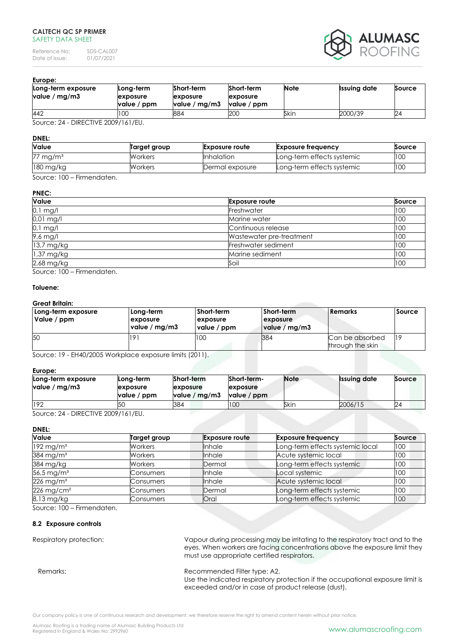Reference No: SDS-CAL007<br>Date of issue: 01/07/2021 Date of issue:



#### **Europe:**

| exposure |             | <b>Issuing date</b> | Source  |
|----------|-------------|---------------------|---------|
| 200      |             |                     | 24      |
|          | value / ppm | Skin                | 2000/39 |

Source: 24 - DIRECTIVE 2009/161/EU.

#### **DNEL:**

| <b>Value</b>                                                                                     | Target group | <b>Exposure route</b> | <b>Exposure frequency</b>  | Source |
|--------------------------------------------------------------------------------------------------|--------------|-----------------------|----------------------------|--------|
| $77 \text{ mg/m}^3$                                                                              | Workers      | <b>Inhalation</b>     | Long-term effects systemic | 100    |
| $180$ mg/kg                                                                                      | Workers      | Dermal exposure       | Long-term effects systemic | 100    |
| $\mathcal{L}_{\text{out}}$ $\mathcal{L}_{\text{out}}$ $\mathcal{L}_{\text{out}}$<br>Eirmandation |              |                       |                            |        |

Source: 100 – Firmendaten.

# **PNEC:**

| Value      | <b>Exposure route</b>    | Source |
|------------|--------------------------|--------|
| $0,1$ mg/l | Freshwater               | 100    |
| 0,01 mg/l  | Marine water             | 100    |
| 0,1 mg/l   | Continuous release       | 100    |
| 9,6 mg/l   | Wastewater pre-treatment | 100    |
| 13,7 mg/kg | Freshwater sediment      | 100    |
| 1,37 mg/kg | Marine sediment          | 100    |
| 2,68 mg/kg | Soil                     | 100    |

Source: 100 – Firmendaten.

#### **Toluene:**

#### **Great Britain:**

| Long-term exposure<br>Value / ppm | Long-term<br>exposure<br>value / mg/m3 | Short-term<br>exposure<br>value / ppm | Short-term<br>exposure<br>value / mg/m3 | l Remarks                           | <b>Source</b> |
|-----------------------------------|----------------------------------------|---------------------------------------|-----------------------------------------|-------------------------------------|---------------|
| 50                                |                                        | 100                                   | 384                                     | Can be absorbed<br>through the skin | 119           |

Source: 19 - EH40/2005 Workplace exposure limits (2011).

#### **Europe:**

| Long-term exposure<br>value / mg/m $3$ | Long-term<br>exposure<br>value / ppm | Short-term<br>exposure<br>value / mg/m3 | Short-term-<br>exposure<br>value / ppm | <b>Note</b> | <b>Issuing date</b> | Source |
|----------------------------------------|--------------------------------------|-----------------------------------------|----------------------------------------|-------------|---------------------|--------|
| 192                                    | l5C                                  | 384                                     | 100                                    | Skin        | 2006/15             | 24     |

Source: 24 - DIRECTIVE 2009/161/EU.

**DNEL:**

| <b>Value</b>             | Target group | <b>Exposure route</b> | <b>Exposure frequency</b>        | Source |
|--------------------------|--------------|-----------------------|----------------------------------|--------|
| $192$ mg/m <sup>3</sup>  | Workers      | <b>Inhale</b>         | Long-term effects systemic local | 100    |
| 384 mg/m $3$             | Workers      | <b>I</b> nhale        | Acute systemic local             | 100    |
| 384 mg/kg                | Workers      | Dermal                | Long-term effects systemic       | 100    |
| 56,5 mg/ $m3$            | Consumers    | <b>Inhale</b>         | Local systemic                   | 100    |
| $226$ mg/m <sup>3</sup>  | Consumers    | Inhale                | Acute systemic local             | 100    |
| $226$ mg/cm <sup>2</sup> | Consumers    | Dermal                | Long-term effects systemic       | 100    |
| 8,13 mg/kg               | Consumers    | Oral                  | Long-term effects systemic       | 100    |

Source: 100 – Firmendaten.

# **8.2 Exposure controls**

Respiratory protection: Vapour during processing may be irritating to the respiratory tract and to the eyes. When workers are facing concentrations above the exposure limit they must use appropriate certified respirators.

# Remarks: Remarks: Recommended Filter type: A2.

Use the indicated respiratory protection if the occupational exposure limit is exceeded and/or in case of product release (dust).

Our company policy is one of continuous research and development; we therefore reserve the right to amend content herein without prior notice.

Alumasc Roofing is a trading name of Alumasc Building Products Ltd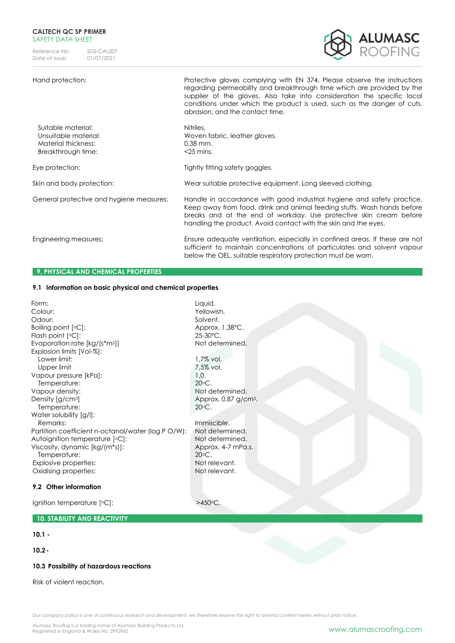Reference No: SDS-CAL007<br>Date of issue: 01/07/2021 Date of issue:



Hand protection: Protective gloves complying with EN 374. Please observe the instructions regarding permeability and breakthrough time which are provided by the supplier of the gloves. Also take into consideration the specific local conditions under which the product is used, such as the danger of cuts, abrasion, and the contact time.

| Suitable material:<br>Unsuitable material:<br>Material thickness:<br>Breakthrough time: | Nitriles.<br>Woven fabric, leather gloves.<br>$0.38$ mm.<br>$<$ 25 mins.                                                                                                                                                                                                                   |
|-----------------------------------------------------------------------------------------|--------------------------------------------------------------------------------------------------------------------------------------------------------------------------------------------------------------------------------------------------------------------------------------------|
| Eye protection:                                                                         | Tightly fitting safety goggles.                                                                                                                                                                                                                                                            |
| Skin and body protection:                                                               | Wear suitable protective equipment. Long sleeved clothing.                                                                                                                                                                                                                                 |
| General protective and hygiene measures:                                                | Handle in accordance with good industrial hygiene and safety practice.<br>Keep away from food, drink and animal feeding stuffs. Wash hands before<br>breaks and at the end of workday. Use protective skin cream before<br>handling the product. Avoid contact with the skin and the eyes. |
| Engineering measures:                                                                   | Ensure adequate ventilation, especially in confined areas. If these are not<br>sufficient to maintain concentrations of particulates and solvent vapour<br>below the OEL, suitable respiratory protection must be worn.                                                                    |

# **9. PHYSICAL AND CHEMICAL PROPERTIES**

# **9.1 Information on basic physical and chemical properties**

Form: Liquid. Colour: Yellowish. Odour: Solvent.<br>
Boiling point [°C]: Solvent. Approx. 1.38°C. Boiling point [°C]:<br>
Flash point [°C]:<br>
25-30°C. Flash point  $[°C]$ : Evaporation rate [kg/(s\*m<sup>2</sup>)] Not determined. Explosion limits [Vol-%]: Lower limit:  $1,7\%$  vol. Upper limit 7,5% vol. Vapour pressure [kPa]: 1,0. Temperature: 20<sup>o</sup>C. Vapour density: Not determined. Density  $[g/cm^3]$  Approx. 0,87 g/cm<sup>3</sup>. Temperature: 20<sup>o</sup>C. Water solubility [g/l]: Remarks: Immiscible.<br>
artition coefficient n-octanol/water (log P O/W): Not determined. Partition coefficient n-octanol/water (log P O/W): Autoignition temperature  $[°C]$ : Not determined. Viscosity, dynamic [kg/(m\*s)]: Approx. 4-7 mPa.s. Temperature: 20<sup>o</sup>C. Explosive properties: Not relevant. Oxidising properties: Not relevant. **9.2 Other information** Ignition temperature [°C]:  $>450$ °C.

# **10. STABILITY AND REACTIVITY**

# **10.1 -**

**10.2-**

#### **10.3 Possibility of hazardous reactions**

Risk of violent reaction.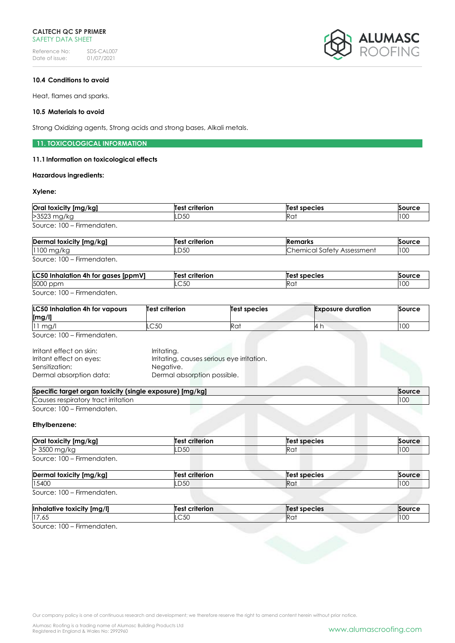Reference No: SDS-CAL007<br>Date of issue: 01/07/2021 Date of issue:



# **10.4 Conditions to avoid**

Heat, flames and sparks.

#### **10.5 Materials to avoid**

Strong Oxidizing agents, Strong acids and strong bases, Alkali metals.

# **11. TOXICOLOGICAL INFORMATION**

# **11.1Information on toxicological effects**

#### **Hazardous ingredients:**

# **Xylene:**

| Oral toxicity [mg/kg]      | <b>Test criterion</b> | Test species | Source |
|----------------------------|-----------------------|--------------|--------|
| >3523 mg/kg                | LD50                  | Ra           | 100    |
| Source: 100 - Firmendaten. |                       |              |        |

| Dermal toxicity [mg/kg]   | <b>Test criterion</b> | Remarks                           | <b>Source</b> |
|---------------------------|-----------------------|-----------------------------------|---------------|
| 1100 mg/kg                | LD50                  | <b>Chemical Safety Assessment</b> | 100           |
| Source: 100 - Firmendaten |                       |                                   |               |

Source: 100 – Firmendaten.

| LC50 Inhalation 4h for gases [ppmV] | <b>Test criterion</b> | Test species | Source |
|-------------------------------------|-----------------------|--------------|--------|
| 5000 ppm                            | .C50                  | Rai          |        |
| Source: 100 - Firmendaten.          |                       |              |        |

| <b>LC50 Inhalation 4h for vapours</b><br>[mg/l] | <b>Test criterion</b> | Test species | <b>Exposure duration</b> | Source |
|-------------------------------------------------|-----------------------|--------------|--------------------------|--------|
| $11$ mg/                                        | $\cap$ 50<br>.UU      | Ra           | - 14 i .                 | 100    |

Source: 100 – Firmendaten.

| Irritant effect on skin: | Irritating.                                |
|--------------------------|--------------------------------------------|
| Irritant effect on eyes: | Irritating, causes serious eye irritation. |
| Sensitization:           | Negative.                                  |
| Dermal absorption data:  | Dermal absorption possible.                |

| Specific target organ toxicity (single exposure) [mg/kg] | Source |
|----------------------------------------------------------|--------|
| Causes respiratory tract irritation                      | 100    |
| Source: 100 – Firmendaten.                               |        |

#### **Ethylbenzene:**

| Oral toxicity [mg/kg]      | <b>Test criterion</b> | Test species | Source |
|----------------------------|-----------------------|--------------|--------|
| > 3500 mg/kg               | LD50                  | Rat          | 100    |
| Source: 100 - Firmendaten. |                       |              |        |

| Dermal toxicity [mg/kg]    | Test criterion | Test species | Source |
|----------------------------|----------------|--------------|--------|
| 15400                      | LD50           | Ra.          | 100    |
| Source: 100 - Firmendaten. |                |              |        |

| <b>Inhalative</b><br>toxicity<br>.<br>[mg/l] | --------<br><b>Test</b><br>rife<br>rion | <b>Test</b><br>' species | .     |
|----------------------------------------------|-----------------------------------------|--------------------------|-------|
| 17,65                                        | $\sim$ $\sim$ $\sim$<br>UCJ.            | INU.                     | 1 U U |

Source: 100 – Firmendaten.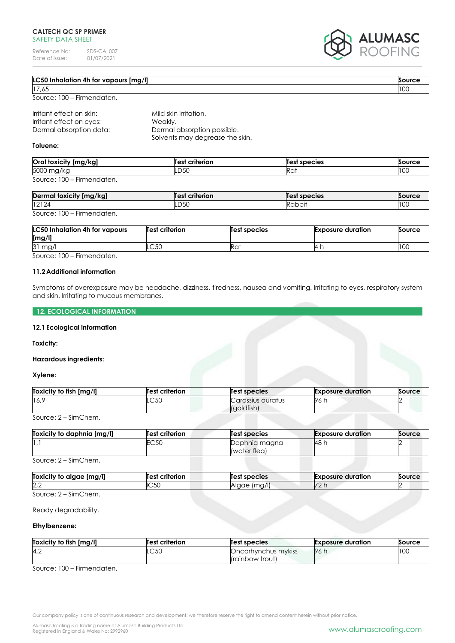Reference No: SDS-CAL007<br>Date of issue: 01/07/2021 Date of issue:

Dermal absorption data: Dermal absorption possible.



| <b>LC50 Inhalation 4h for vapours [mg/l]</b> |                       | Source |
|----------------------------------------------|-----------------------|--------|
| 17,65                                        |                       | 100    |
| Source: 100 – Firmendaten.                   |                       |        |
| Irritant effect on skin:                     | Mild skin irritation. |        |
| Irritant effect on eyes:                     | Weakly.               |        |

Solvents may degrease the skin.

**Toluene:**

| Oral toxicity [mg/kg]           | Test criterion | Test species | Source |
|---------------------------------|----------------|--------------|--------|
| 5000 mg/kg                      | LD50           | Ka.          | 100    |
| Source: $100 -$<br>Firmendaten. |                |              |        |

| Dermal toxicity [mg/kg]                  | criterion<br>Test | Test species       | Source      |
|------------------------------------------|-------------------|--------------------|-------------|
| 12124                                    | <b>D50</b>        | Rabbi <sup>1</sup> | ח ה<br>1 UU |
| $S_{\Omega U}$ rca: $100 - Eirmandation$ |                   |                    |             |

Source: 100 – Firmendaten.

| <b>LC50 Inhalation 4h for vapours</b><br>[mg/l] | Test criterion | Test species | <b>Exposure duration</b> | Source |
|-------------------------------------------------|----------------|--------------|--------------------------|--------|
| 31 mg/l                                         | ⌒∽∩<br>∟ບ∪     | Rat          | $-41$                    | 100    |

Source: 100 – Firmendaten.

# **11.2Additional information**

Symptoms of overexposure may be headache, dizziness, tiredness, nausea and vomiting. Irritating to eyes, respiratory system and skin. Irritating to mucous membranes.

# **12. ECOLOGICAL INFORMATION**

#### **12.1Ecological information**

#### **Toxicity:**

#### **Hazardous ingredients:**

# **Xylene:**

| Toxicity to fish [mg/l] | <b>Test criterion</b> | <b>Test species</b>             | <b>Exposure duration</b> | Source |
|-------------------------|-----------------------|---------------------------------|--------------------------|--------|
| 16 <sup>c</sup>         | $\cap$ 50<br>-UU      | Carassius auratus<br>(goldfish) | 96.                      |        |

Source: 2 – SimChem.

| Toxicity to daphnia [mg/l] | <b>Test criterion</b> | <b>Test species</b>           | <b>Exposure duration</b> | Source |
|----------------------------|-----------------------|-------------------------------|--------------------------|--------|
|                            | EC 50                 | Daphnia magna<br>(water flea) | <b>48 h</b>              |        |

Source: 2 – SimChem.

| Img/l<br><b>Toxicity to</b><br>alaae | Test<br>criterion | species<br>Test          | <b>Exposure duration</b> | Source |
|--------------------------------------|-------------------|--------------------------|--------------------------|--------|
| 2,2                                  | IC5C              | $1 \sim 1$<br>ane<br>٠ч, | 72                       |        |
| $\sim$<br>$\sim$<br>$\sim$<br>$\sim$ |                   |                          |                          |        |

Source: 2 – SimChem.

#### Ready degradability.

#### **Ethylbenzene:**

| Toxicity to fish [mg/l] | <b>Test criterion</b> | <b>Test species</b> | <b>Exposure duration</b> | Source |
|-------------------------|-----------------------|---------------------|--------------------------|--------|
| 4,2                     | $\cap$ 50<br>.UU      | Oncorhynchus mykiss | 96 h                     | 100    |
|                         |                       | (rainbow trout)     |                          |        |

Source: 100 – Firmendaten.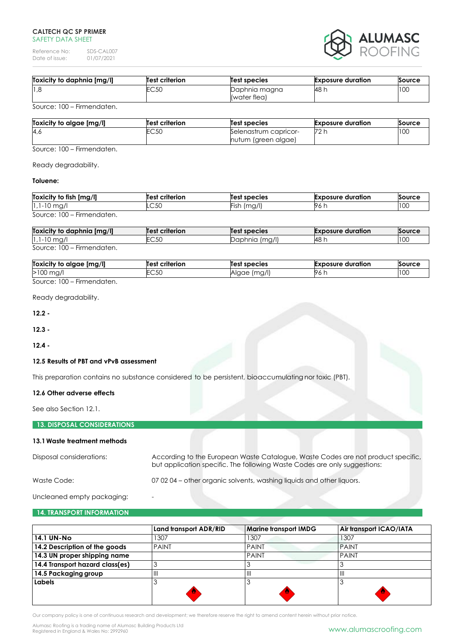Reference No: SDS-CAL007<br>Date of issue: 01/07/2021 Date of issue:



| Toxicity to daphnia [mg/l] | <b>Test criterion</b> | <b>Test species</b>           | <b>Exposure duration</b> | Source |
|----------------------------|-----------------------|-------------------------------|--------------------------|--------|
| 1,8                        | EC50                  | Daphnia magna<br>(water flea) | <b>48 h</b>              | 10C    |
| ---<br>$- \cdot$<br>$\sim$ |                       |                               |                          |        |

Source: 100 – Firmendaten.

| Toxicity to algae [mg/l] | <b>Test criterion</b> | Test species          | <b>Exposure duration</b> | Source |
|--------------------------|-----------------------|-----------------------|--------------------------|--------|
| 4,6                      | EC 50                 | Selenastrum capricor- | 72 h                     | 100    |
|                          |                       | nutum (green algae)   |                          |        |

Source: 100 – Firmendaten.

Ready degradability.

# **Toluene:**

| Toxicity to fish [mg/l]                                 | <b>Test criterion</b> | Test species | <b>Exposure duration</b> | Source |
|---------------------------------------------------------|-----------------------|--------------|--------------------------|--------|
| $ 1,1-10 \text{ mg}/1$                                  | LC50                  | Fish (mg/l)  | 96 h                     | 10C    |
| Source: 100<br>Firmendaten.<br>$\overline{\phantom{0}}$ |                       |              |                          |        |

| Toxicity to daphnia [mg/l] | <b>Test criterion</b> | <b>Test species</b> | <b>Exposure duration</b> | Source |
|----------------------------|-----------------------|---------------------|--------------------------|--------|
| $1,1-10$ mg/               | $\sim$ 50<br>∟∪∪∪     | Daphnia (mg/l)      | - 148 i                  | 10C    |
| Source: 100 – Firmendaten. |                       |                     |                          |        |

| [mg/l]<br><b>Toxici</b><br>alaae<br>v to<br>'ITV | criterion<br>Test | species                                     | duration<br>.oosure | `ourc⊾     |
|--------------------------------------------------|-------------------|---------------------------------------------|---------------------|------------|
| >۱<br>UU.<br>ו שי                                | $\sim$ 50<br>-~~  | $\cdots$<br>$\sim$<br>ില<br>1971<br>٦U<br>ີ | - 1961.             | 100<br>TUU |

Source: 100 – Firmendaten.

Ready degradability.

**12.2 -**

**12.3 -**

**12.4 -**

#### **12.5 Results of PBT and vPvB assessment**

This preparation contains no substance considered to be persistent, bioaccumulating nor toxic (PBT).

# **12.6 Other adverse effects**

See also Section 12.1.

# **13. DISPOSAL CONSIDERATIONS**

#### **13.1Waste treatment methods**

| Disposal considerations: | According to the European Waste Catalogue, Waste Codes are not product specific,<br>but application specific. The following Waste Codes are only suggestions: |
|--------------------------|---------------------------------------------------------------------------------------------------------------------------------------------------------------|
| Waste Code:              | 07 02 04 – other organic solvents, washing liquids and other liquors.                                                                                         |

Uncleaned empty packaging:

#### **14. TRANSPORT INFORMATION**

|                                 | Land transport ADR/RID | <b>Marine transport IMDG</b> | Air transport ICAO/IATA |
|---------------------------------|------------------------|------------------------------|-------------------------|
| <b>14.1 UN-No</b>               | 307،                   | 1307                         | 1307                    |
| 14.2 Description of the goods   | <b>PAINT</b>           | <b>PAINT</b>                 | <b>PAINT</b>            |
| 14.3 UN proper shipping name    |                        | <b>PAINT</b>                 | <b>PAINT</b>            |
| 14.4 Transport hazard class(es) |                        |                              |                         |
| 14.5 Packaging group            | $\mathsf{III}$         | III                          | $\mathbf{III}$          |
| Labels                          |                        |                              |                         |
|                                 | ш                      | O.                           | Đ                       |
|                                 |                        |                              |                         |

Our company policy is one of continuous research and development; we therefore reserve the right to amend content herein without prior notice.

Alumasc Roofing is a trading name of Alumasc Building Products Ltd